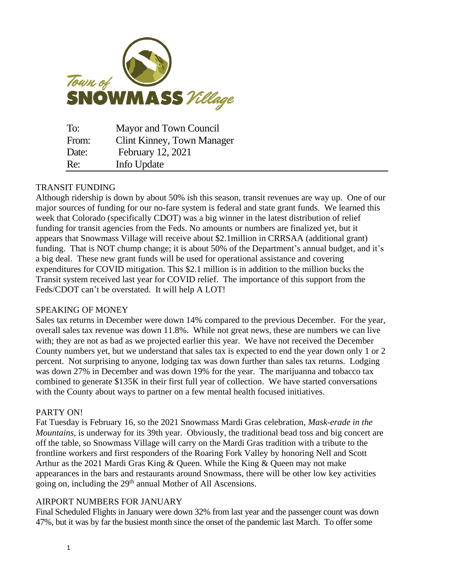

| To:   | Mayor and Town Council     |
|-------|----------------------------|
| From: | Clint Kinney, Town Manager |
| Date: | February 12, 2021          |
| Re:   | Info Update                |

### TRANSIT FUNDING

Although ridership is down by about 50% ish this season, transit revenues are way up. One of our major sources of funding for our no-fare system is federal and state grant funds. We learned this week that Colorado (specifically CDOT) was a big winner in the latest distribution of relief funding for transit agencies from the Feds. No amounts or numbers are finalized yet, but it appears that Snowmass Village will receive about \$2.1million in CRRSAA (additional grant) funding. That is NOT chump change; it is about 50% of the Department's annual budget, and it's a big deal. These new grant funds will be used for operational assistance and covering expenditures for COVID mitigation. This \$2.1 million is in addition to the million bucks the Transit system received last year for COVID relief. The importance of this support from the Feds/CDOT can't be overstated. It will help A LOT!

#### SPEAKING OF MONEY

Sales tax returns in December were down 14% compared to the previous December. For the year, overall sales tax revenue was down 11.8%. While not great news, these are numbers we can live with; they are not as bad as we projected earlier this year. We have not received the December County numbers yet, but we understand that sales tax is expected to end the year down only 1 or 2 percent. Not surprising to anyone, lodging tax was down further than sales tax returns. Lodging was down 27% in December and was down 19% for the year. The marijuanna and tobacco tax combined to generate \$135K in their first full year of collection. We have started conversations with the County about ways to partner on a few mental health focused initiatives.

### PARTY ON!

Fat Tuesday is February 16, so the 2021 Snowmass Mardi Gras celebration, *Mask-erade in the Mountains,* is underway for its 39th year. Obviously, the traditional bead toss and big concert are off the table, so Snowmass Village will carry on the Mardi Gras tradition with a tribute to the frontline workers and first responders of the Roaring Fork Valley by honoring Nell and Scott Arthur as the 2021 Mardi Gras King & Queen. While the King & Queen may not make appearances in the bars and restaurants around Snowmass, there will be other low key activities going on, including the 29<sup>th</sup> annual Mother of All Ascensions.

### AIRPORT NUMBERS FOR JANUARY

Final Scheduled Flights in January were down 32% from last year and the passenger count was down 47%, but it was by far the busiest month since the onset of the pandemic last March. To offer some